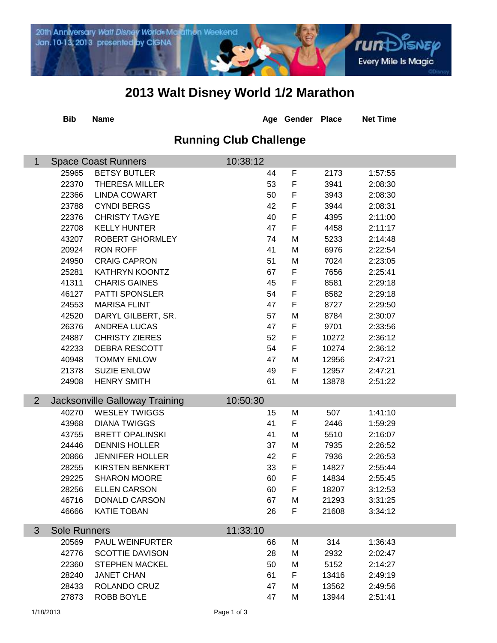

## **2013 Walt Disney World 1/2 Marathon**

|                               | <b>Bib</b>                             | <b>Name</b>                           |          | Age Gender Place |       | <b>Net Time</b> |  |  |  |  |
|-------------------------------|----------------------------------------|---------------------------------------|----------|------------------|-------|-----------------|--|--|--|--|
| <b>Running Club Challenge</b> |                                        |                                       |          |                  |       |                 |  |  |  |  |
| $\mathbf 1$                   | 10:38:12<br><b>Space Coast Runners</b> |                                       |          |                  |       |                 |  |  |  |  |
|                               | 25965                                  | <b>BETSY BUTLER</b>                   | 44       | F                | 2173  | 1:57:55         |  |  |  |  |
|                               | 22370                                  | <b>THERESA MILLER</b>                 | 53       | $\mathsf F$      | 3941  | 2:08:30         |  |  |  |  |
|                               | 22366                                  | <b>LINDA COWART</b>                   | 50       | F                | 3943  | 2:08:30         |  |  |  |  |
|                               | 23788                                  | <b>CYNDI BERGS</b>                    | 42       | $\mathsf F$      | 3944  | 2:08:31         |  |  |  |  |
|                               | 22376                                  | <b>CHRISTY TAGYE</b>                  | 40       | $\mathsf F$      | 4395  | 2:11:00         |  |  |  |  |
|                               | 22708                                  | <b>KELLY HUNTER</b>                   | 47       | F                | 4458  | 2:11:17         |  |  |  |  |
|                               | 43207                                  | ROBERT GHORMLEY                       | 74       | M                | 5233  | 2:14:48         |  |  |  |  |
|                               | 20924                                  | <b>RON ROFF</b>                       | 41       | M                | 6976  | 2:22:54         |  |  |  |  |
|                               | 24950                                  | <b>CRAIG CAPRON</b>                   | 51       | M                | 7024  | 2:23:05         |  |  |  |  |
|                               | 25281                                  | <b>KATHRYN KOONTZ</b>                 | 67       | F                | 7656  | 2:25:41         |  |  |  |  |
|                               | 41311                                  | <b>CHARIS GAINES</b>                  | 45       | F                | 8581  | 2:29:18         |  |  |  |  |
|                               | 46127                                  | PATTI SPONSLER                        | 54       | $\mathsf F$      | 8582  | 2:29:18         |  |  |  |  |
|                               | 24553                                  | <b>MARISA FLINT</b>                   | 47       | F                | 8727  | 2:29:50         |  |  |  |  |
|                               | 42520                                  | DARYL GILBERT, SR.                    | 57       | M                | 8784  | 2:30:07         |  |  |  |  |
|                               | 26376                                  | ANDREA LUCAS                          | 47       | F                | 9701  | 2:33:56         |  |  |  |  |
|                               | 24887                                  | <b>CHRISTY ZIERES</b>                 | 52       | $\mathsf F$      | 10272 | 2:36:12         |  |  |  |  |
|                               | 42233                                  | <b>DEBRA RESCOTT</b>                  | 54       | $\mathsf F$      | 10274 | 2:36:12         |  |  |  |  |
|                               | 40948                                  | <b>TOMMY ENLOW</b>                    | 47       | M                | 12956 | 2:47:21         |  |  |  |  |
|                               | 21378                                  | <b>SUZIE ENLOW</b>                    | 49       | F                | 12957 | 2:47:21         |  |  |  |  |
|                               | 24908                                  | <b>HENRY SMITH</b>                    | 61       | M                | 13878 | 2:51:22         |  |  |  |  |
| $\overline{2}$                |                                        | <b>Jacksonville Galloway Training</b> | 10:50:30 |                  |       |                 |  |  |  |  |
|                               | 40270                                  | <b>WESLEY TWIGGS</b>                  | 15       | M                | 507   | 1:41:10         |  |  |  |  |
|                               | 43968                                  | <b>DIANA TWIGGS</b>                   | 41       | F                | 2446  | 1:59:29         |  |  |  |  |
|                               | 43755                                  | <b>BRETT OPALINSKI</b>                | 41       | M                | 5510  | 2:16:07         |  |  |  |  |
|                               | 24446                                  | <b>DENNIS HOLLER</b>                  | 37       | M                | 7935  | 2:26:52         |  |  |  |  |
|                               | 20866                                  | <b>JENNIFER HOLLER</b>                | 42       | F                | 7936  | 2:26:53         |  |  |  |  |
|                               | 28255                                  | <b>KIRSTEN BENKERT</b>                | 33       | F                | 14827 | 2:55:44         |  |  |  |  |
|                               | 29225                                  | <b>SHARON MOORE</b>                   | 60       | F                | 14834 | 2:55:45         |  |  |  |  |
|                               | 28256                                  | <b>ELLEN CARSON</b>                   | 60       | F                | 18207 | 3:12:53         |  |  |  |  |
|                               | 46716                                  | <b>DONALD CARSON</b>                  | 67       | M                | 21293 | 3:31:25         |  |  |  |  |
|                               | 46666                                  | <b>KATIE TOBAN</b>                    | 26       | F                | 21608 | 3:34:12         |  |  |  |  |
|                               |                                        |                                       |          |                  |       |                 |  |  |  |  |
| 3                             | 11:33:10<br><b>Sole Runners</b>        |                                       |          |                  |       |                 |  |  |  |  |
|                               | 20569                                  | PAUL WEINFURTER                       | 66       | M                | 314   | 1:36:43         |  |  |  |  |
|                               | 42776                                  | <b>SCOTTIE DAVISON</b>                | 28       | M                | 2932  | 2:02:47         |  |  |  |  |
|                               | 22360                                  | <b>STEPHEN MACKEL</b>                 | 50       | M                | 5152  | 2:14:27         |  |  |  |  |
|                               | 28240                                  | <b>JANET CHAN</b>                     | 61       | F                | 13416 | 2:49:19         |  |  |  |  |
|                               | 28433                                  | ROLANDO CRUZ                          | 47       | M                | 13562 | 2:49:56         |  |  |  |  |
|                               | 27873                                  | ROBB BOYLE                            | 47       | M                | 13944 | 2:51:41         |  |  |  |  |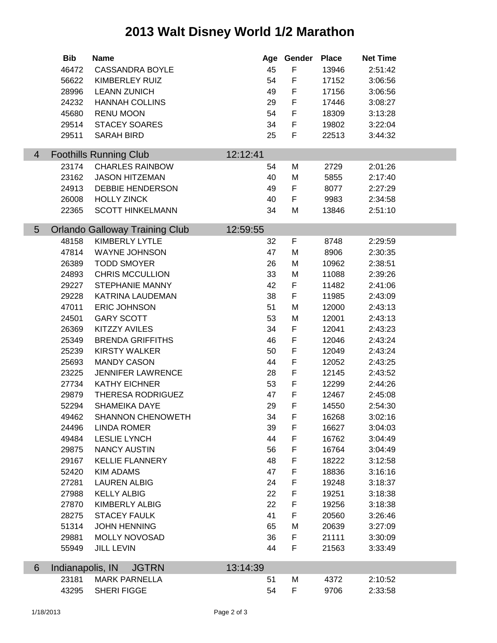## **2013 Walt Disney World 1/2 Marathon**

|                 | <b>Bib</b>       | <b>Name</b>                               |          | Age Gender  | <b>Place</b>   | <b>Net Time</b>    |  |
|-----------------|------------------|-------------------------------------------|----------|-------------|----------------|--------------------|--|
|                 | 46472            | <b>CASSANDRA BOYLE</b>                    | 45       | F           | 13946          | 2:51:42            |  |
|                 | 56622            | KIMBERLEY RUIZ                            | 54       | $\mathsf F$ | 17152          | 3:06:56            |  |
|                 | 28996            | <b>LEANN ZUNICH</b>                       | 49       | F           | 17156          | 3:06:56            |  |
|                 | 24232            | <b>HANNAH COLLINS</b>                     | 29       | $\mathsf F$ | 17446          | 3:08:27            |  |
|                 | 45680            | <b>RENU MOON</b>                          | 54       | F           | 18309          | 3:13:28            |  |
|                 | 29514            | <b>STACEY SOARES</b>                      | 34       | $\mathsf F$ | 19802          | 3:22:04            |  |
|                 | 29511            | <b>SARAH BIRD</b>                         | 25       | F           | 22513          | 3:44:32            |  |
|                 |                  |                                           |          |             |                |                    |  |
| $\overline{4}$  |                  | <b>Foothills Running Club</b>             | 12:12:41 |             |                |                    |  |
|                 | 23174            | <b>CHARLES RAINBOW</b>                    | 54       | М           | 2729           | 2:01:26            |  |
|                 | 23162            | <b>JASON HITZEMAN</b>                     | 40       | M           | 5855           | 2:17:40            |  |
|                 | 24913            | <b>DEBBIE HENDERSON</b>                   | 49       | F           | 8077           | 2:27:29            |  |
|                 | 26008            | <b>HOLLY ZINCK</b>                        | 40       | F           | 9983           | 2:34:58            |  |
|                 | 22365            | <b>SCOTT HINKELMANN</b>                   | 34       | M           | 13846          | 2:51:10            |  |
| $5\overline{)}$ |                  | <b>Orlando Galloway Training Club</b>     | 12:59:55 |             |                |                    |  |
|                 | 48158            | <b>KIMBERLY LYTLE</b>                     | 32       | F           | 8748           | 2:29:59            |  |
|                 | 47814            | <b>WAYNE JOHNSON</b>                      | 47       | M           | 8906           | 2:30:35            |  |
|                 | 26389            | <b>TODD SMOYER</b>                        | 26       | M           | 10962          | 2:38:51            |  |
|                 | 24893            | <b>CHRIS MCCULLION</b>                    | 33       | M           | 11088          | 2:39:26            |  |
|                 | 29227            | <b>STEPHANIE MANNY</b>                    | 42       | F           | 11482          | 2:41:06            |  |
|                 | 29228            | KATRINA LAUDEMAN                          | 38       | F           | 11985          | 2:43:09            |  |
|                 | 47011            | <b>ERIC JOHNSON</b>                       | 51       | M           | 12000          | 2:43:13            |  |
|                 | 24501            | <b>GARY SCOTT</b>                         | 53       | M           | 12001          | 2:43:13            |  |
|                 | 26369            | <b>KITZZY AVILES</b>                      | 34       | F           | 12041          | 2:43:23            |  |
|                 | 25349            | <b>BRENDA GRIFFITHS</b>                   | 46       | F           | 12046          | 2:43:24            |  |
|                 | 25239            | <b>KIRSTY WALKER</b>                      | 50       | F           | 12049          | 2:43:24            |  |
|                 | 25693            | <b>MANDY CASON</b>                        | 44       | F           | 12052          | 2:43:25            |  |
|                 | 23225            | <b>JENNIFER LAWRENCE</b>                  | 28       | $\mathsf F$ | 12145          | 2:43:52            |  |
|                 | 27734            | <b>KATHY EICHNER</b>                      | 53       | $\mathsf F$ | 12299          | 2:44:26            |  |
|                 | 29879            | THERESA RODRIGUEZ                         | 47       | $\mathsf F$ | 12467          | 2:45:08            |  |
|                 | 52294            | SHAMEIKA DAYE                             | 29       | F           | 14550          | 2:54:30            |  |
|                 | 49462            | <b>SHANNON CHENOWETH</b>                  | 34       | F           | 16268          | 3:02:16            |  |
|                 | 24496            | <b>LINDA ROMER</b>                        | 39       | F           | 16627          | 3:04:03            |  |
|                 | 49484            | <b>LESLIE LYNCH</b>                       | 44       | F           | 16762          | 3:04:49            |  |
|                 | 29875            | <b>NANCY AUSTIN</b>                       | 56       | F           | 16764          | 3:04:49            |  |
|                 | 29167            | <b>KELLIE FLANNERY</b>                    | 48       | F           | 18222          | 3:12:58            |  |
|                 | 52420            | <b>KIM ADAMS</b>                          | 47       | F           | 18836          | 3:16:16            |  |
|                 | 27281            | <b>LAUREN ALBIG</b>                       | 24       | F           | 19248          | 3:18:37            |  |
|                 | 27988            | <b>KELLY ALBIG</b>                        | 22       | F           |                |                    |  |
|                 | 27870            | <b>KIMBERLY ALBIG</b>                     | 22       | F           | 19251<br>19256 | 3:18:38<br>3:18:38 |  |
|                 |                  | <b>STACEY FAULK</b>                       |          |             |                |                    |  |
|                 | 28275<br>51314   | <b>JOHN HENNING</b>                       | 41<br>65 | F<br>M      | 20560<br>20639 | 3:26:46<br>3:27:09 |  |
|                 |                  |                                           |          |             |                |                    |  |
|                 | 29881<br>55949   | <b>MOLLY NOVOSAD</b><br><b>JILL LEVIN</b> | 36<br>44 | F<br>F      | 21111<br>21563 | 3:30:09<br>3:33:49 |  |
|                 |                  |                                           |          |             |                |                    |  |
| 6               | Indianapolis, IN | <b>JGTRN</b>                              | 13:14:39 |             |                |                    |  |
|                 | 23181            | <b>MARK PARNELLA</b>                      | 51       | M           | 4372           | 2:10:52            |  |
|                 | 43295            | SHERI FIGGE                               | 54       | F           | 9706           | 2:33:58            |  |